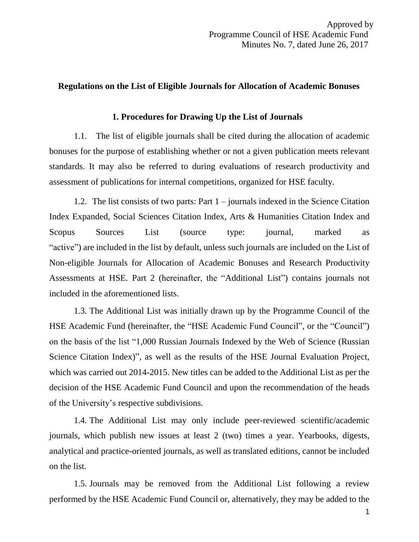## **Regulations on the List of Eligible Journals for Allocation of Academic Bonuses**

### **1. Procedures for Drawing Up the List of Journals**

1.1. The list of eligible journals shall be cited during the allocation of academic bonuses for the purpose of establishing whether or not a given publication meets relevant standards. It may also be referred to during evaluations of research productivity and assessment of publications for internal competitions, organized for HSE faculty.

1.2. The list consists of two parts: Part 1 – journals indexed in the Science Citation Index Expanded, Social Sciences Citation Index, Arts & Humanities Citation Index and Scopus Sources List (source type: journal, marked as "active") are included in the list by default, unless such journals are included on the List of Non-eligible Journals for Allocation of Academic Bonuses and Research Productivity Assessments at HSE. Part 2 (hereinafter, the "Additional List") contains journals not included in the aforementioned lists.

1.3. The Additional List was initially drawn up by the Programme Council of the HSE Academic Fund (hereinafter, the "HSE Academic Fund Council", or the "Council") on the basis of the list "1,000 Russian Journals Indexed by the Web of Science (Russian Science Citation Index)", as well as the results of the HSE Journal Evaluation Project, which was carried out 2014-2015. New titles can be added to the Additional List as per the decision of the HSE Academic Fund Council and upon the recommendation of the heads of the University's respective subdivisions.

1.4. The Additional List may only include peer-reviewed scientific/academic journals, which publish new issues at least 2 (two) times a year. Yearbooks, digests, analytical and practice-oriented journals, as well as translated editions, cannot be included on the list.

1.5. Journals may be removed from the Additional List following a review performed by the HSE Academic Fund Council or, alternatively, they may be added to the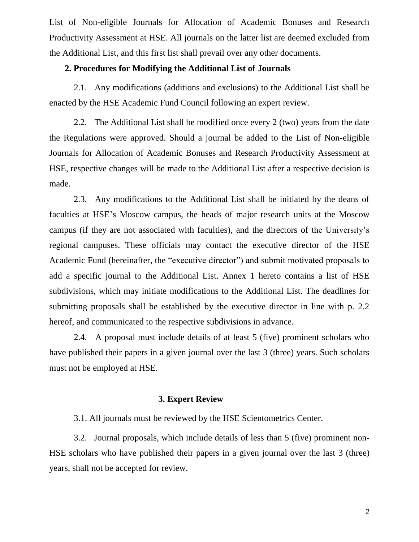List of Non-eligible Journals for Allocation of Academic Bonuses and Research Productivity Assessment at HSE. All journals on the latter list are deemed excluded from the Additional List, and this first list shall prevail over any other documents.

## **2. Procedures for Modifying the Additional List of Journals**

2.1. Any modifications (additions and exclusions) to the Additional List shall be enacted by the HSE Academic Fund Council following an expert review.

2.2. The Additional List shall be modified once every 2 (two) years from the date the Regulations were approved. Should a journal be added to the List of Non-eligible Journals for Allocation of Academic Bonuses and Research Productivity Assessment at HSE, respective changes will be made to the Additional List after a respective decision is made.

2.3. Any modifications to the Additional List shall be initiated by the deans of faculties at HSE's Moscow campus, the heads of major research units at the Moscow campus (if they are not associated with faculties), and the directors of the University's regional campuses. These officials may contact the executive director of the HSE Academic Fund (hereinafter, the "executive director") and submit motivated proposals to add a specific journal to the Additional List. Annex 1 hereto contains a list of HSE subdivisions, which may initiate modifications to the Additional List. The deadlines for submitting proposals shall be established by the executive director in line with p. 2.2 hereof, and communicated to the respective subdivisions in advance.

2.4. A proposal must include details of at least 5 (five) prominent scholars who have published their papers in a given journal over the last 3 (three) years. Such scholars must not be employed at HSE.

#### **3. Expert Review**

3.1. All journals must be reviewed by the HSE Scientometrics Center.

3.2. Journal proposals, which include details of less than 5 (five) prominent non-HSE scholars who have published their papers in a given journal over the last 3 (three) years, shall not be accepted for review.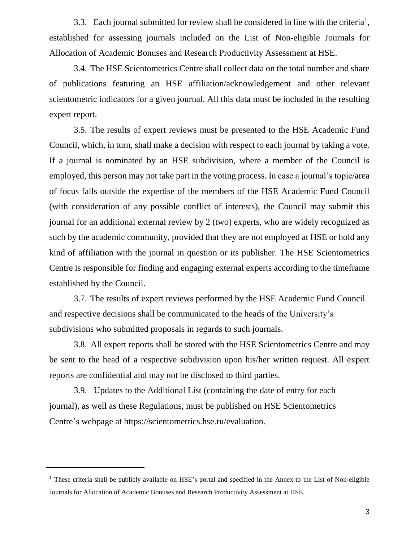3.3. Each journal submitted for review shall be considered in line with the criteria<sup>1</sup>, established for assessing journals included on the List of Non-eligible Journals for Allocation of Academic Bonuses and Research Productivity Assessment at HSE.

3.4. The HSE Scientometrics Centre shall collect data on the total number and share of publications featuring an HSE affiliation/acknowledgement and other relevant scientometric indicators for a given journal. All this data must be included in the resulting expert report.

3.5. The results of expert reviews must be presented to the HSE Academic Fund Council, which, in turn, shall make a decision with respect to each journal by taking a vote. If a journal is nominated by an HSE subdivision, where a member of the Council is employed, this person may not take part in the voting process. In case a journal's topic/area of focus falls outside the expertise of the members of the HSE Academic Fund Council (with consideration of any possible conflict of interests), the Council may submit this journal for an additional external review by 2 (two) experts, who are widely recognized as such by the academic community, provided that they are not employed at HSE or hold any kind of affiliation with the journal in question or its publisher. The HSE Scientometrics Centre is responsible for finding and engaging external experts according to the timeframe established by the Council.

3.7. The results of expert reviews performed by the HSE Academic Fund Council and respective decisions shall be communicated to the heads of the University's subdivisions who submitted proposals in regards to such journals.

3.8. All expert reports shall be stored with the HSE Scientometrics Centre and may be sent to the head of a respective subdivision upon his/her written request. All expert reports are confidential and may not be disclosed to third parties.

3.9. Updates to the Additional List (containing the date of entry for each journal), as well as these Regulations, must be published on HSE Scientometrics Centre's webpage at https://scientometrics.hse.ru/evaluation.

l

 $<sup>1</sup>$  These criteria shall be publicly available on HSE's portal and specified in the Annex to the List of Non-eligible</sup> Journals for Allocation of Academic Bonuses and Research Productivity Assessment at HSE.